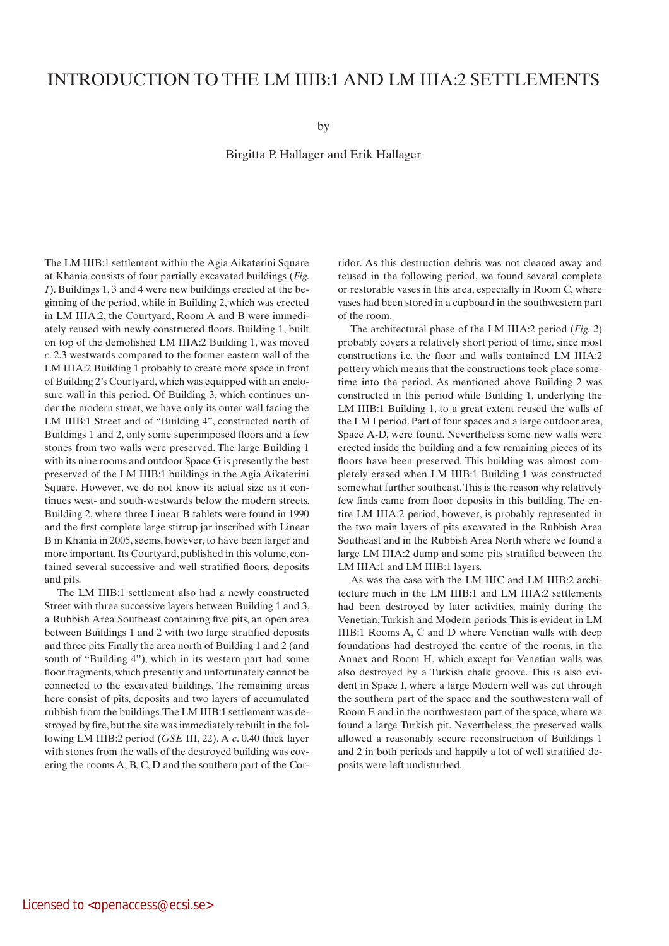## INTRODUCTION TO THE LM IIIB:1 AND LM IIIA:2 SETTLEMENTS

by

Birgitta P. Hallager and Erik Hallager

The LM IIIB:1 settlement within the Agia Aikaterini Square at Khania consists of four partially excavated buildings (*Fig. 1*). Buildings 1, 3 and 4 were new buildings erected at the beginning of the period, while in Building 2, which was erected in LM IIIA:2, the Courtyard, Room A and B were immediately reused with newly constructed floors. Building 1, built on top of the demolished LM IIIA:2 Building 1, was moved *c*. 2.3 westwards compared to the former eastern wall of the LM IIIA:2 Building 1 probably to create more space in front of Building 2's Courtyard, which was equipped with an enclosure wall in this period. Of Building 3, which continues under the modern street, we have only its outer wall facing the LM IIIB:1 Street and of "Building 4", constructed north of Buildings 1 and 2, only some superimposed floors and a few stones from two walls were preserved. The large Building 1 with its nine rooms and outdoor Space G is presently the best preserved of the LM IIIB:1 buildings in the Agia Aikaterini Square. However, we do not know its actual size as it continues west- and south-westwards below the modern streets. Building 2, where three Linear B tablets were found in 1990 and the first complete large stirrup jar inscribed with Linear B in Khania in 2005, seems, however, to have been larger and more important. Its Courtyard, published in this volume, contained several successive and well stratified floors, deposits and pits.

The LM IIIB:1 settlement also had a newly constructed Street with three successive layers between Building 1 and 3, a Rubbish Area Southeast containing five pits, an open area between Buildings 1 and 2 with two large stratified deposits and three pits. Finally the area north of Building 1 and 2 (and south of "Building 4"), which in its western part had some floor fragments, which presently and unfortunately cannot be connected to the excavated buildings. The remaining areas here consist of pits, deposits and two layers of accumulated rubbish from the buildings. The LM IIIB:1 settlement was destroyed by fire, but the site was immediately rebuilt in the following LM IIIB:2 period (*GSE* III, 22). A *c*. 0.40 thick layer with stones from the walls of the destroyed building was covering the rooms A, B, C, D and the southern part of the Corridor. As this destruction debris was not cleared away and reused in the following period, we found several complete or restorable vases in this area, especially in Room C, where vases had been stored in a cupboard in the southwestern part of the room.

The architectural phase of the LM IIIA:2 period (*Fig. 2*) probably covers a relatively short period of time, since most constructions i.e. the floor and walls contained LM IIIA:2 pottery which means that the constructions took place sometime into the period. As mentioned above Building 2 was constructed in this period while Building 1, underlying the LM IIIB:1 Building 1, to a great extent reused the walls of the LM I period. Part of four spaces and a large outdoor area, Space A-D, were found. Nevertheless some new walls were erected inside the building and a few remaining pieces of its floors have been preserved. This building was almost completely erased when LM IIIB:1 Building 1 was constructed somewhat further southeast. This is the reason why relatively few finds came from floor deposits in this building. The entire LM IIIA:2 period, however, is probably represented in the two main layers of pits excavated in the Rubbish Area Southeast and in the Rubbish Area North where we found a large LM IIIA:2 dump and some pits stratified between the LM IIIA:1 and LM IIIB:1 layers.

As was the case with the LM IIIC and LM IIIB:2 architecture much in the LM IIIB:1 and LM IIIA:2 settlements had been destroyed by later activities, mainly during the Venetian, Turkish and Modern periods. This is evident in LM IIIB:1 Rooms A, C and D where Venetian walls with deep foundations had destroyed the centre of the rooms, in the Annex and Room H, which except for Venetian walls was also destroyed by a Turkish chalk groove. This is also evident in Space I, where a large Modern well was cut through the southern part of the space and the southwestern wall of Room E and in the northwestern part of the space, where we found a large Turkish pit. Nevertheless, the preserved walls allowed a reasonably secure reconstruction of Buildings 1 and 2 in both periods and happily a lot of well stratified deposits were left undisturbed.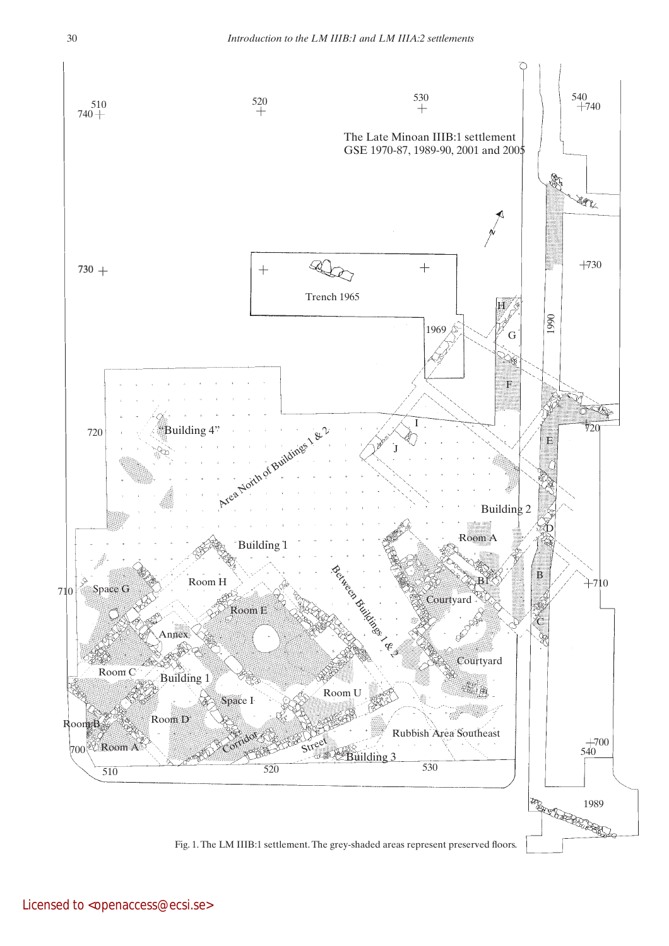